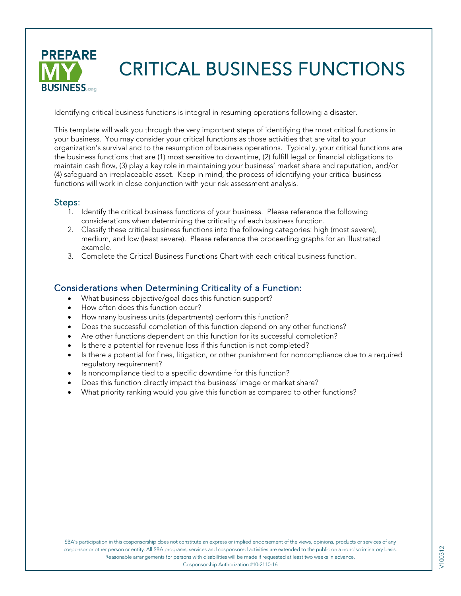

# CRITICAL BUSINESS FUNCTIONS

Identifying critical business functions is integral in resuming operations following a disaster.

This template will walk you through the very important steps of identifying the most critical functions in your business. You may consider your critical functions as those activities that are vital to your organization's survival and to the resumption of business operations. Typically, your critical functions are the business functions that are (1) most sensitive to downtime, (2) fulfill legal or financial obligations to maintain cash flow, (3) play a key role in maintaining your business' market share and reputation, and/or (4) safeguard an irreplaceable asset. Keep in mind, the process of identifying your critical business functions will work in close conjunction with your risk assessment analysis.

#### Steps:

- 1. Identify the critical business functions of your business. Please reference the following considerations when determining the criticality of each business function.
- 2. Classify these critical business functions into the following categories: high (most severe), medium, and low (least severe). Please reference the proceeding graphs for an illustrated example.
- 3. Complete the Critical Business Functions Chart with each critical business function.

#### Considerations when Determining Criticality of a Function:

- What business objective/goal does this function support?
- How often does this function occur?
- How many business units (departments) perform this function?
- Does the successful completion of this function depend on any other functions?
- Are other functions dependent on this function for its successful completion?
- Is there a potential for revenue loss if this function is not completed?
- Is there a potential for fines, litigation, or other punishment for noncompliance due to a required regulatory requirement?
- Is noncompliance tied to a specific downtime for this function?
- Does this function directly impact the business' image or market share?
- What priority ranking would you give this function as compared to other functions?